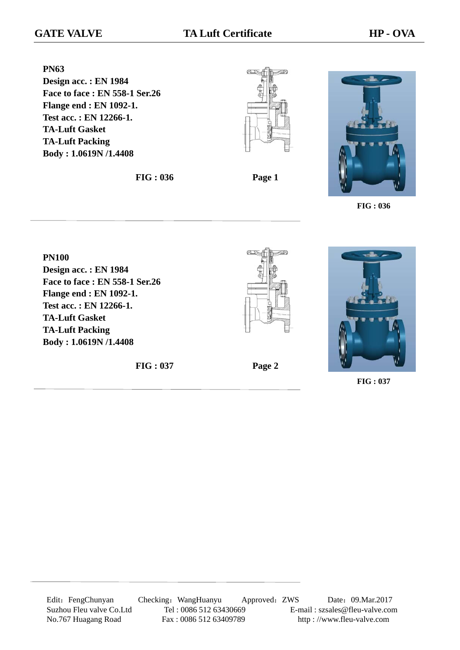**PN63 Design acc. : EN 1984 Face to face : EN 558-1 Ser.26 Flange end : EN 1092-1. Test acc. : EN 12266-1. TA-Luft Gasket TA-Luft Packing Body : 1.0619N /1.4408**

**FIG : 036 Page 1**





**FIG : 036**

**PN100 Design acc. : EN 1984 Face to face : EN 558-1 Ser.26 Flange end : EN 1092-1. Test acc. : EN 12266-1. TA-Luft Gasket TA-Luft Packing Body : 1.0619N /1.4408**









**FIG : 037**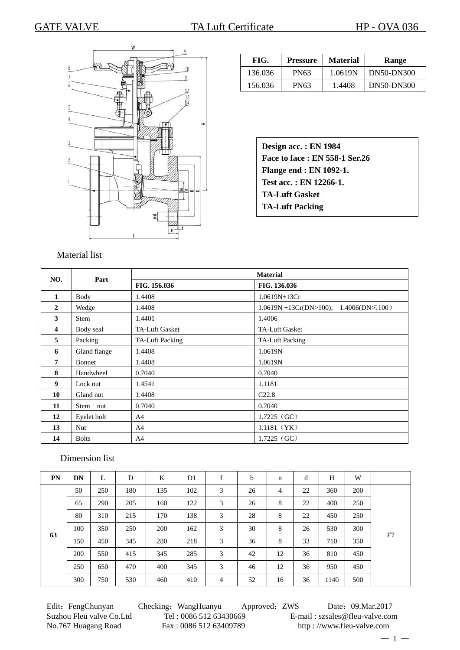

| FIG.    | <b>Pressure</b> | <b>Material</b> | Range      |  |  |
|---------|-----------------|-----------------|------------|--|--|
| 136.036 | PN63            | 1.0619N         | DN50-DN300 |  |  |
| 156.036 | PN63            | 1.4408          | DN50-DN300 |  |  |

| Design acc.: EN 1984           |
|--------------------------------|
| Face to face: EN 558-1 Ser.26  |
| <b>Flange end : EN 1092-1.</b> |
| Test acc.: EN 12266-1.         |
| <b>TA-Luft Gasket</b>          |
| <b>TA-Luft Packing</b>         |
|                                |

#### Material list

| NO.          | Part          | <b>Material</b>        |                                              |  |  |  |  |  |
|--------------|---------------|------------------------|----------------------------------------------|--|--|--|--|--|
|              |               | FIG. 156.036           | FIG. 136.036                                 |  |  |  |  |  |
| 1            | <b>Body</b>   | 1.4408                 | $1.0619N+13Cr$                               |  |  |  |  |  |
| $\mathbf{2}$ | Wedge         | 1.4408                 | $1.0619N + 13Cr(DN>100), 1.4006(DN \le 100)$ |  |  |  |  |  |
| 3            | <b>Stem</b>   | 1.4401                 | 1.4006                                       |  |  |  |  |  |
| 4            | Body seal     | <b>TA-Luft Gasket</b>  | <b>TA-Luft Gasket</b>                        |  |  |  |  |  |
| 5            | Packing       | <b>TA-Luft Packing</b> | <b>TA-Luft Packing</b>                       |  |  |  |  |  |
| 6            | Gland flange  | 1.4408                 | 1.0619N                                      |  |  |  |  |  |
| 7            | <b>Bonnet</b> | 1.4408                 | 1.0619N                                      |  |  |  |  |  |
| 8            | Handwheel     | 0.7040                 | 0.7040                                       |  |  |  |  |  |
| 9            | Lock nut      | 1.4541                 | 1.1181                                       |  |  |  |  |  |
| 10           | Gland nut     | 1.4408                 | C22.8                                        |  |  |  |  |  |
| 11           | Stem nut      | 0.7040                 | 0.7040                                       |  |  |  |  |  |
| 12           | Eyelet bolt   | A <sup>4</sup>         | $1.7225$ (GC)                                |  |  |  |  |  |
| 13           | <b>Nut</b>    | A <sup>4</sup>         | $1.1181$ (YK)                                |  |  |  |  |  |
| 14           | <b>Bolts</b>  | A <sup>4</sup>         | $1.7225$ (GC)                                |  |  |  |  |  |

# Dimension list

| PN | DN  | L   | D   | K   | D1  | $\mathbf f$<br>1 | b  | n              | d  | H    | W   |    |
|----|-----|-----|-----|-----|-----|------------------|----|----------------|----|------|-----|----|
| 63 | 50  | 250 | 180 | 135 | 102 | 3                | 26 | $\overline{4}$ | 22 | 360  | 200 | F7 |
|    | 65  | 290 | 205 | 160 | 122 | 3                | 26 | 8              | 22 | 400  | 250 |    |
|    | 80  | 310 | 215 | 170 | 138 | 3                | 28 | 8              | 22 | 450  | 250 |    |
|    | 100 | 350 | 250 | 200 | 162 | 3                | 30 | 8              | 26 | 530  | 300 |    |
|    | 150 | 450 | 345 | 280 | 218 | 3                | 36 | 8              | 33 | 710  | 350 |    |
|    | 200 | 550 | 415 | 345 | 285 | 3                | 42 | 12             | 36 | 810  | 450 |    |
|    | 250 | 650 | 470 | 400 | 345 | 3                | 46 | 12             | 36 | 950  | 450 |    |
|    | 300 | 750 | 530 | 460 | 410 | 4                | 52 | 16             | 36 | 1140 | 500 |    |

Edit: FengChunyan Checking: WangHuanyu Approved: ZWS Date: 09.Mar.2017 Suzhou Fleu valve Co.Ltd Tel : 0086 512 63430669 E-mail : szsales@fleu-valve.com<br>No.767 Huagang Road Fax : 0086 512 63409789 http : //www.fleu-valve.com http://www.fleu-valve.com

 $-1-$